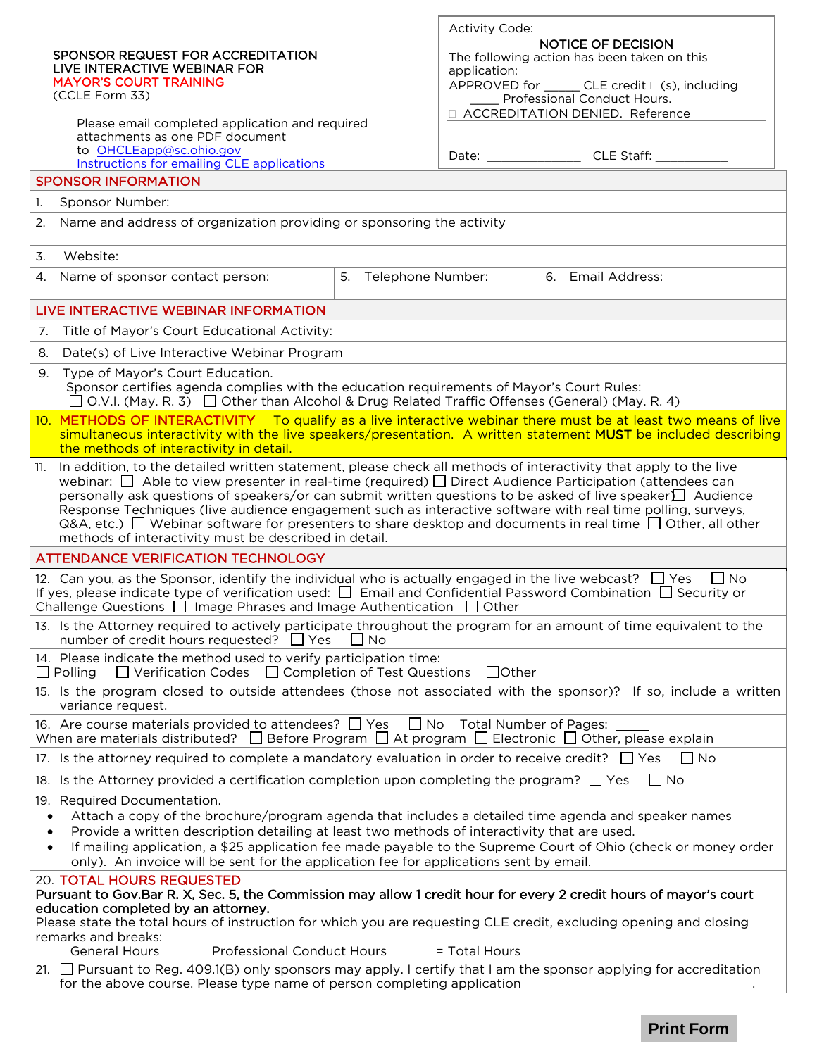| SPONSOR REQUEST FOR ACCREDITATION<br>LIVE INTERACTIVE WEBINAR FOR<br><b>MAYOR'S COURT TRAINING</b><br>(CCLE Form 33)                                                                                                                                                                                                                                                                                                                           |                                                                                                                                                                                                                                                                                                                                                                                                                                                                                                                                                                                                                                                             |  | <b>Activity Code:</b><br><b>NOTICE OF DECISION</b><br>The following action has been taken on this<br>application:<br>APPROVED for _______ CLE credit □ (s), including<br>Professional Conduct Hours. |  |                   |  |                                                                                                               |
|------------------------------------------------------------------------------------------------------------------------------------------------------------------------------------------------------------------------------------------------------------------------------------------------------------------------------------------------------------------------------------------------------------------------------------------------|-------------------------------------------------------------------------------------------------------------------------------------------------------------------------------------------------------------------------------------------------------------------------------------------------------------------------------------------------------------------------------------------------------------------------------------------------------------------------------------------------------------------------------------------------------------------------------------------------------------------------------------------------------------|--|------------------------------------------------------------------------------------------------------------------------------------------------------------------------------------------------------|--|-------------------|--|---------------------------------------------------------------------------------------------------------------|
|                                                                                                                                                                                                                                                                                                                                                                                                                                                |                                                                                                                                                                                                                                                                                                                                                                                                                                                                                                                                                                                                                                                             |  |                                                                                                                                                                                                      |  |                   |  | Please email completed application and required<br>attachments as one PDF document<br>to OHCLEapp@sc.ohio.gov |
|                                                                                                                                                                                                                                                                                                                                                                                                                                                | Instructions for emailing CLE applications                                                                                                                                                                                                                                                                                                                                                                                                                                                                                                                                                                                                                  |  |                                                                                                                                                                                                      |  |                   |  |                                                                                                               |
| <b>SPONSOR INFORMATION</b>                                                                                                                                                                                                                                                                                                                                                                                                                     |                                                                                                                                                                                                                                                                                                                                                                                                                                                                                                                                                                                                                                                             |  |                                                                                                                                                                                                      |  |                   |  |                                                                                                               |
| 1.                                                                                                                                                                                                                                                                                                                                                                                                                                             | Sponsor Number:                                                                                                                                                                                                                                                                                                                                                                                                                                                                                                                                                                                                                                             |  |                                                                                                                                                                                                      |  |                   |  |                                                                                                               |
| 2.                                                                                                                                                                                                                                                                                                                                                                                                                                             | Name and address of organization providing or sponsoring the activity                                                                                                                                                                                                                                                                                                                                                                                                                                                                                                                                                                                       |  |                                                                                                                                                                                                      |  |                   |  |                                                                                                               |
| 3.                                                                                                                                                                                                                                                                                                                                                                                                                                             | Website:                                                                                                                                                                                                                                                                                                                                                                                                                                                                                                                                                                                                                                                    |  |                                                                                                                                                                                                      |  |                   |  |                                                                                                               |
|                                                                                                                                                                                                                                                                                                                                                                                                                                                | 4. Name of sponsor contact person:                                                                                                                                                                                                                                                                                                                                                                                                                                                                                                                                                                                                                          |  | 5. Telephone Number:                                                                                                                                                                                 |  | 6. Email Address: |  |                                                                                                               |
| LIVE INTERACTIVE WEBINAR INFORMATION                                                                                                                                                                                                                                                                                                                                                                                                           |                                                                                                                                                                                                                                                                                                                                                                                                                                                                                                                                                                                                                                                             |  |                                                                                                                                                                                                      |  |                   |  |                                                                                                               |
| Title of Mayor's Court Educational Activity:<br>7.                                                                                                                                                                                                                                                                                                                                                                                             |                                                                                                                                                                                                                                                                                                                                                                                                                                                                                                                                                                                                                                                             |  |                                                                                                                                                                                                      |  |                   |  |                                                                                                               |
| 8.                                                                                                                                                                                                                                                                                                                                                                                                                                             | Date(s) of Live Interactive Webinar Program                                                                                                                                                                                                                                                                                                                                                                                                                                                                                                                                                                                                                 |  |                                                                                                                                                                                                      |  |                   |  |                                                                                                               |
|                                                                                                                                                                                                                                                                                                                                                                                                                                                | 9. Type of Mayor's Court Education.<br>Sponsor certifies agenda complies with the education requirements of Mayor's Court Rules:<br>$\Box$ O.V.I. (May. R. 3) $\Box$ Other than Alcohol & Drug Related Traffic Offenses (General) (May. R. 4)                                                                                                                                                                                                                                                                                                                                                                                                               |  |                                                                                                                                                                                                      |  |                   |  |                                                                                                               |
|                                                                                                                                                                                                                                                                                                                                                                                                                                                | 10. METHODS OF INTERACTIVITY To qualify as a live interactive webinar there must be at least two means of live<br>simultaneous interactivity with the live speakers/presentation. A written statement MUST be included describing<br>the methods of interactivity in detail.                                                                                                                                                                                                                                                                                                                                                                                |  |                                                                                                                                                                                                      |  |                   |  |                                                                                                               |
| 11.                                                                                                                                                                                                                                                                                                                                                                                                                                            | In addition, to the detailed written statement, please check all methods of interactivity that apply to the live<br>webinar: $\Box$ Able to view presenter in real-time (required) $\Box$ Direct Audience Participation (attendees can<br>personally ask questions of speakers/or can submit written questions to be asked of live speaker $\Box$ Audience<br>Response Techniques (live audience engagement such as interactive software with real time polling, surveys,<br>Q&A, etc.) $\Box$ Webinar software for presenters to share desktop and documents in real time $\Box$ Other, all other<br>methods of interactivity must be described in detail. |  |                                                                                                                                                                                                      |  |                   |  |                                                                                                               |
| <b>ATTENDANCE VERIFICATION TECHNOLOGY</b>                                                                                                                                                                                                                                                                                                                                                                                                      |                                                                                                                                                                                                                                                                                                                                                                                                                                                                                                                                                                                                                                                             |  |                                                                                                                                                                                                      |  |                   |  |                                                                                                               |
| 12. Can you, as the Sponsor, identify the individual who is actually engaged in the live webcast? $\Box$ Yes<br>l No<br>If yes, please indicate type of verification used: $\Box$ Email and Confidential Password Combination $\Box$ Security or<br>Challenge Questions $\Box$ Image Phrases and Image Authentication $\Box$ Other                                                                                                             |                                                                                                                                                                                                                                                                                                                                                                                                                                                                                                                                                                                                                                                             |  |                                                                                                                                                                                                      |  |                   |  |                                                                                                               |
|                                                                                                                                                                                                                                                                                                                                                                                                                                                | 13. Is the Attorney required to actively participate throughout the program for an amount of time equivalent to the<br>number of credit hours requested? $\Box$ Yes<br>l I No                                                                                                                                                                                                                                                                                                                                                                                                                                                                               |  |                                                                                                                                                                                                      |  |                   |  |                                                                                                               |
| 14. Please indicate the method used to verify participation time:<br>$\Box$ Verification Codes $\Box$ Completion of Test Questions<br>$\Box$ Polling<br>$\Box$ Other                                                                                                                                                                                                                                                                           |                                                                                                                                                                                                                                                                                                                                                                                                                                                                                                                                                                                                                                                             |  |                                                                                                                                                                                                      |  |                   |  |                                                                                                               |
| 15. Is the program closed to outside attendees (those not associated with the sponsor)? If so, include a written<br>variance request.                                                                                                                                                                                                                                                                                                          |                                                                                                                                                                                                                                                                                                                                                                                                                                                                                                                                                                                                                                                             |  |                                                                                                                                                                                                      |  |                   |  |                                                                                                               |
| 16. Are course materials provided to attendees? $\Box$ Yes<br>$\Box$ No Total Number of Pages:<br>When are materials distributed? $\Box$ Before Program $\Box$ At program $\Box$ Electronic $\Box$ Other, please explain                                                                                                                                                                                                                       |                                                                                                                                                                                                                                                                                                                                                                                                                                                                                                                                                                                                                                                             |  |                                                                                                                                                                                                      |  |                   |  |                                                                                                               |
| $\Box$ No<br>17. Is the attorney required to complete a mandatory evaluation in order to receive credit? $\Box$ Yes                                                                                                                                                                                                                                                                                                                            |                                                                                                                                                                                                                                                                                                                                                                                                                                                                                                                                                                                                                                                             |  |                                                                                                                                                                                                      |  |                   |  |                                                                                                               |
| 18. Is the Attorney provided a certification completion upon completing the program? $\Box$ Yes<br>$\Box$ No                                                                                                                                                                                                                                                                                                                                   |                                                                                                                                                                                                                                                                                                                                                                                                                                                                                                                                                                                                                                                             |  |                                                                                                                                                                                                      |  |                   |  |                                                                                                               |
| 19. Required Documentation.<br>Attach a copy of the brochure/program agenda that includes a detailed time agenda and speaker names<br>Provide a written description detailing at least two methods of interactivity that are used.<br>If mailing application, a \$25 application fee made payable to the Supreme Court of Ohio (check or money order<br>only). An invoice will be sent for the application fee for applications sent by email. |                                                                                                                                                                                                                                                                                                                                                                                                                                                                                                                                                                                                                                                             |  |                                                                                                                                                                                                      |  |                   |  |                                                                                                               |
| 20. TOTAL HOURS REQUESTED<br>Pursuant to Gov.Bar R. X, Sec. 5, the Commission may allow 1 credit hour for every 2 credit hours of mayor's court<br>education completed by an attorney.<br>Please state the total hours of instruction for which you are requesting CLE credit, excluding opening and closing<br>remarks and breaks:                                                                                                            |                                                                                                                                                                                                                                                                                                                                                                                                                                                                                                                                                                                                                                                             |  |                                                                                                                                                                                                      |  |                   |  |                                                                                                               |
|                                                                                                                                                                                                                                                                                                                                                                                                                                                | General Hours<br><b>Professional Conduct Hours</b><br>= Total Hours<br>21. $\Box$ Pursuant to Reg. 409.1(B) only sponsors may apply. I certify that I am the sponsor applying for accreditation                                                                                                                                                                                                                                                                                                                                                                                                                                                             |  |                                                                                                                                                                                                      |  |                   |  |                                                                                                               |
|                                                                                                                                                                                                                                                                                                                                                                                                                                                | for the above course. Please type name of person completing application                                                                                                                                                                                                                                                                                                                                                                                                                                                                                                                                                                                     |  |                                                                                                                                                                                                      |  |                   |  |                                                                                                               |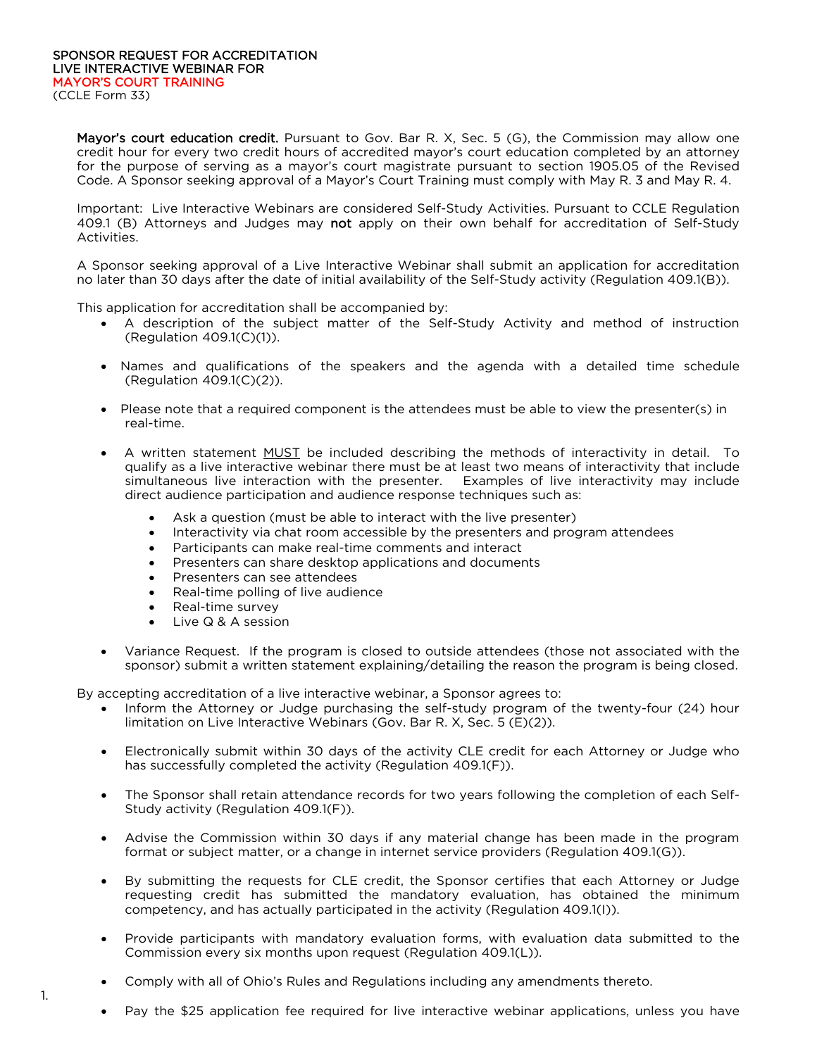Mayor's court education credit. Pursuant to Gov. Bar R. X, Sec. 5 (G), the Commission may allow one credit hour for every two credit hours of accredited mayor's court education completed by an attorney for the purpose of serving as a mayor's court magistrate pursuant to section 1905.05 of the Revised Code. A Sponsor seeking approval of a Mayor's Court Training must comply with May R. 3 and May R. 4.

Important: Live Interactive Webinars are considered Self-Study Activities. Pursuant to CCLE Regulation 409.1 (B) Attorneys and Judges may not apply on their own behalf for accreditation of Self-Study Activities.

A Sponsor seeking approval of a Live Interactive Webinar shall submit an application for accreditation no later than 30 days after the date of initial availability of the Self-Study activity (Regulation 409.1(B)).

This application for accreditation shall be accompanied by:

- A description of the subject matter of the Self-Study Activity and method of instruction (Regulation 409.1(C)(1)).
- Names and qualifications of the speakers and the agenda with a detailed time schedule (Regulation 409.1(C)(2)).
- Please note that a required component is the attendees must be able to view the presenter(s) in real-time.
- A written statement MUST be included describing the methods of interactivity in detail. To qualify as a live interactive webinar there must be at least two means of interactivity that include simultaneous live interaction with the presenter. Examples of live interactivity may include direct audience participation and audience response techniques such as:
	- Ask a question (must be able to interact with the live presenter)
	- Interactivity via chat room accessible by the presenters and program attendees
	- Participants can make real-time comments and interact
	- Presenters can share desktop applications and documents
	- Presenters can see attendees
	- Real-time polling of live audience
	- Real-time survey
	- Live Q & A session
- Variance Request. If the program is closed to outside attendees (those not associated with the sponsor) submit a written statement explaining/detailing the reason the program is being closed.

By accepting accreditation of a live interactive webinar, a Sponsor agrees to:

- Inform the Attorney or Judge purchasing the self-study program of the twenty-four (24) hour limitation on Live Interactive Webinars (Gov. Bar R. X, Sec. 5 (E)(2)).
- Electronically submit within 30 days of the activity CLE credit for each Attorney or Judge who has successfully completed the activity (Regulation 409.1(F)).
- The Sponsor shall retain attendance records for two years following the completion of each Self-Study activity (Regulation 409.1(F)).
- Advise the Commission within 30 days if any material change has been made in the program format or subject matter, or a change in internet service providers (Regulation 409.1(G)).
- By submitting the requests for CLE credit, the Sponsor certifies that each Attorney or Judge requesting credit has submitted the mandatory evaluation, has obtained the minimum competency, and has actually participated in the activity (Regulation 409.1(I)).
- Provide participants with mandatory evaluation forms, with evaluation data submitted to the Commission every six months upon request (Regulation 409.1(L)).
- Comply with all of Ohio's Rules and Regulations including any amendments thereto.
- Pay the \$25 application fee required for live interactive webinar applications, unless you have